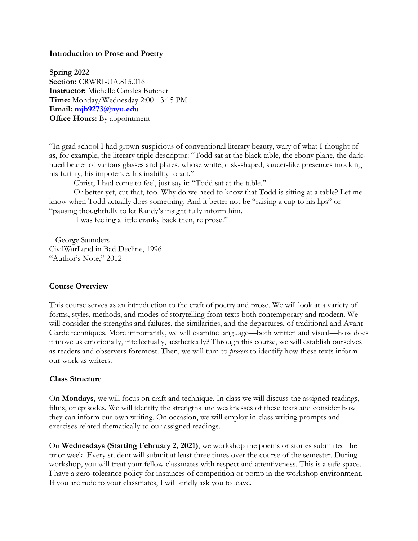#### **Introduction to Prose and Poetry**

**Spring 2022 Section:** CRWRI-UA.815.016 **Instructor:** Michelle Canales Butcher **Time:** Monday/Wednesday 2:00 - 3:15 PM **Email: mjb9273@nyu.edu Office Hours:** By appointment

"In grad school I had grown suspicious of conventional literary beauty, wary of what I thought of as, for example, the literary triple descriptor: "Todd sat at the black table, the ebony plane, the darkhued bearer of various glasses and plates, whose white, disk-shaped, saucer-like presences mocking his futility, his impotence, his inability to act."

Christ, I had come to feel, just say it: "Todd sat at the table."

Or better yet, cut that, too. Why do we need to know that Todd is sitting at a table? Let me know when Todd actually does something. And it better not be "raising a cup to his lips" or "pausing thoughtfully to let Randy's insight fully inform him.

I was feeling a little cranky back then, re prose."

– George Saunders CivilWarLand in Bad Decline, 1996 "Author's Note," 2012

### **Course Overview**

This course serves as an introduction to the craft of poetry and prose. We will look at a variety of forms, styles, methods, and modes of storytelling from texts both contemporary and modern. We will consider the strengths and failures, the similarities, and the departures, of traditional and Avant Garde techniques. More importantly, we will examine language—both written and visual—how does it move us emotionally, intellectually, aesthetically? Through this course, we will establish ourselves as readers and observers foremost. Then, we will turn to *process* to identify how these texts inform our work as writers.

#### **Class Structure**

On **Mondays,** we will focus on craft and technique. In class we will discuss the assigned readings, films, or episodes. We will identify the strengths and weaknesses of these texts and consider how they can inform our own writing. On occasion, we will employ in-class writing prompts and exercises related thematically to our assigned readings.

On **Wednesdays (Starting February 2, 2021)**, we workshop the poems or stories submitted the prior week. Every student will submit at least three times over the course of the semester. During workshop, you will treat your fellow classmates with respect and attentiveness. This is a safe space. I have a zero-tolerance policy for instances of competition or pomp in the workshop environment. If you are rude to your classmates, I will kindly ask you to leave.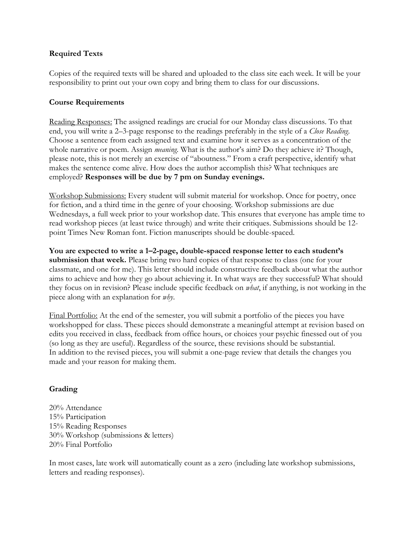## **Required Texts**

Copies of the required texts will be shared and uploaded to the class site each week. It will be your responsibility to print out your own copy and bring them to class for our discussions.

## **Course Requirements**

Reading Responses: The assigned readings are crucial for our Monday class discussions. To that end, you will write a 2–3-page response to the readings preferably in the style of a *Close Reading*. Choose a sentence from each assigned text and examine how it serves as a concentration of the whole narrative or poem. Assign *meaning*. What is the author's aim? Do they achieve it? Though, please note, this is not merely an exercise of "aboutness." From a craft perspective, identify what makes the sentence come alive. How does the author accomplish this? What techniques are employed? **Responses will be due by 7 pm on Sunday evenings.**

Workshop Submissions: Every student will submit material for workshop. Once for poetry, once for fiction, and a third time in the genre of your choosing. Workshop submissions are due Wednesdays, a full week prior to your workshop date. This ensures that everyone has ample time to read workshop pieces (at least twice through) and write their critiques. Submissions should be 12 point Times New Roman font. Fiction manuscripts should be double-spaced.

**You are expected to write a 1–2-page, double-spaced response letter to each student's submission that week.** Please bring two hard copies of that response to class (one for your classmate, and one for me). This letter should include constructive feedback about what the author aims to achieve and how they go about achieving it. In what ways are they successful? What should they focus on in revision? Please include specific feedback on *what*, if anything, is not working in the piece along with an explanation for *why*.

Final Portfolio: At the end of the semester, you will submit a portfolio of the pieces you have workshopped for class. These pieces should demonstrate a meaningful attempt at revision based on edits you received in class, feedback from office hours, or choices your psychic finessed out of you (so long as they are useful). Regardless of the source, these revisions should be substantial. In addition to the revised pieces, you will submit a one-page review that details the changes you made and your reason for making them.

# **Grading**

20% Attendance 15% Participation 15% Reading Responses 30% Workshop (submissions & letters) 20% Final Portfolio

In most cases, late work will automatically count as a zero (including late workshop submissions, letters and reading responses).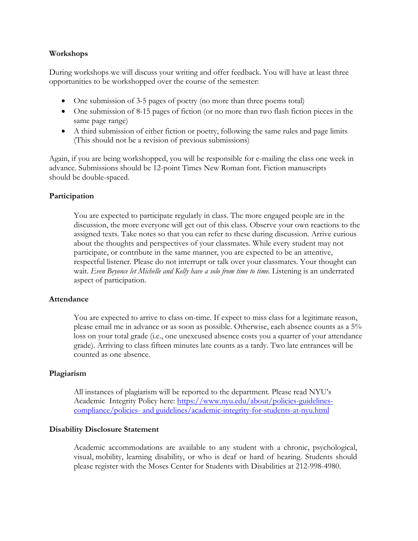### **Workshops**

During workshops we will discuss your writing and offer feedback. You will have at least three opportunities to be workshopped over the course of the semester:

- One submission of 3-5 pages of poetry (no more than three poems total)
- One submission of 8-15 pages of fiction (or no more than two flash fiction pieces in the same page range)
- A third submission of either fiction or poetry, following the same rules and page limits (This should not be a revision of previous submissions)

Again, if you are being workshopped, you will be responsible for e-mailing the class one week in advance. Submissions should be 12-point Times New Roman font. Fiction manuscripts should be double-spaced.

## **Participation**

You are expected to participate regularly in class. The more engaged people are in the discussion, the more everyone will get out of this class. Observe your own reactions to the assigned texts. Take notes so that you can refer to these during discussion. Arrive curious about the thoughts and perspectives of your classmates. While every student may not participate, or contribute in the same manner, you are expected to be an attentive, respectful listener. Please do not interrupt or talk over your classmates. Your thought can wait. *Even Beyonce let Michelle and Kelly have a solo from time to time.* Listening is an underrated aspect of participation.

### **Attendance**

You are expected to arrive to class on-time. If expect to miss class for a legitimate reason, please email me in advance or as soon as possible. Otherwise, each absence counts as a 5% loss on your total grade (i.e., one unexcused absence costs you a quarter of your attendance grade). Arriving to class fifteen minutes late counts as a tardy. Two late entrances will be counted as one absence.

### **Plagiarism**

All instances of plagiarism will be reported to the department. Please read NYU's Academic Integrity Policy here: https://www.nyu.edu/about/policies-guidelinescompliance/policies- and guidelines/academic-integrity-for-students-at-nyu.html

### **Disability Disclosure Statement**

Academic accommodations are available to any student with a chronic, psychological, visual, mobility, learning disability, or who is deaf or hard of hearing. Students should please register with the Moses Center for Students with Disabilities at 212-998-4980.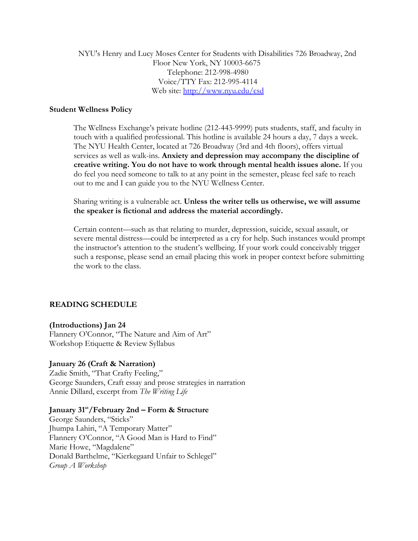NYU's Henry and Lucy Moses Center for Students with Disabilities 726 Broadway, 2nd Floor New York, NY 10003-6675 Telephone: 212-998-4980 Voice/TTY Fax: 212-995-4114 Web site: http://www.nyu.edu/csd

### **Student Wellness Policy**

The Wellness Exchange's private hotline (212-443-9999) puts students, staff, and faculty in touch with a qualified professional. This hotline is available 24 hours a day, 7 days a week. The NYU Health Center, located at 726 Broadway (3rd and 4th floors), offers virtual services as well as walk-ins. **Anxiety and depression may accompany the discipline of creative writing. You do not have to work through mental health issues alone.** If you do feel you need someone to talk to at any point in the semester, please feel safe to reach out to me and I can guide you to the NYU Wellness Center.

Sharing writing is a vulnerable act. **Unless the writer tells us otherwise, we will assume the speaker is fictional and address the material accordingly.**

Certain content—such as that relating to murder, depression, suicide, sexual assault, or severe mental distress—could be interpreted as a cry for help. Such instances would prompt the instructor's attention to the student's wellbeing. If your work could conceivably trigger such a response, please send an email placing this work in proper context before submitting the work to the class.

## **READING SCHEDULE**

### **(Introductions) Jan 24**

Flannery O'Connor, "The Nature and Aim of Art" Workshop Etiquette & Review Syllabus

### **January 26 (Craft & Narration)**

Zadie Smith, "That Crafty Feeling," George Saunders, Craft essay and prose strategies in narration Annie Dillard, excerpt from *The Writing Life*

### **January 31st/February 2nd – Form & Structure**

George Saunders, "Sticks" Jhumpa Lahiri, "A Temporary Matter" Flannery O'Connor, "A Good Man is Hard to Find" Marie Howe, "Magdalene" Donald Barthelme, "Kierkegaard Unfair to Schlegel" *Group A Workshop*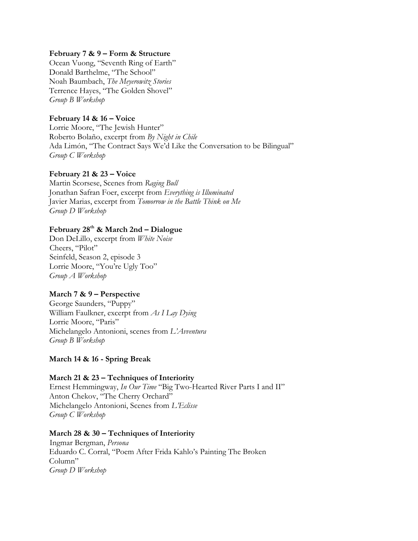### **February 7 & 9 – Form & Structure**

Ocean Vuong, "Seventh Ring of Earth" Donald Barthelme, "The School" Noah Baumbach, *The Meyerowitz Stories* Terrence Hayes, "The Golden Shovel" *Group B Workshop*

## **February 14 & 16 – Voice**

Lorrie Moore, "The Jewish Hunter" Roberto Bolaño, excerpt from *By Night in Chile* Ada Limón, "The Contract Says We'd Like the Conversation to be Bilingual" *Group C Workshop*

## **February 21 & 23 – Voice**

Martin Scorsese, Scenes from *Raging Bull* Jonathan Safran Foer, excerpt from *Everything is Illuminated* Javier Marias, excerpt from *Tomorrow in the Battle Think on Me Group D Workshop*

## **February 28th & March 2nd – Dialogue**

Don DeLillo, excerpt from *White Noise* Cheers, "Pilot" Seinfeld, Season 2, episode 3 Lorrie Moore, "You're Ugly Too" *Group A Workshop*

## **March 7 & 9 – Perspective**

George Saunders, "Puppy" William Faulkner, excerpt from *As I Lay Dying* Lorrie Moore, "Paris" Michelangelo Antonioni, scenes from *L'Avventura Group B Workshop*

## **March 14 & 16 - Spring Break**

## **March 21 & 23 – Techniques of Interiority**

Ernest Hemmingway, *In Our Time* "Big Two-Hearted River Parts I and II" Anton Chekov, "The Cherry Orchard" Michelangelo Antonioni, Scenes from *L'Eclisse Group C Workshop*

## **March 28 & 30 – Techniques of Interiority**

Ingmar Bergman, *Persona* Eduardo C. Corral, "Poem After Frida Kahlo's Painting The Broken Column" *Group D Workshop*